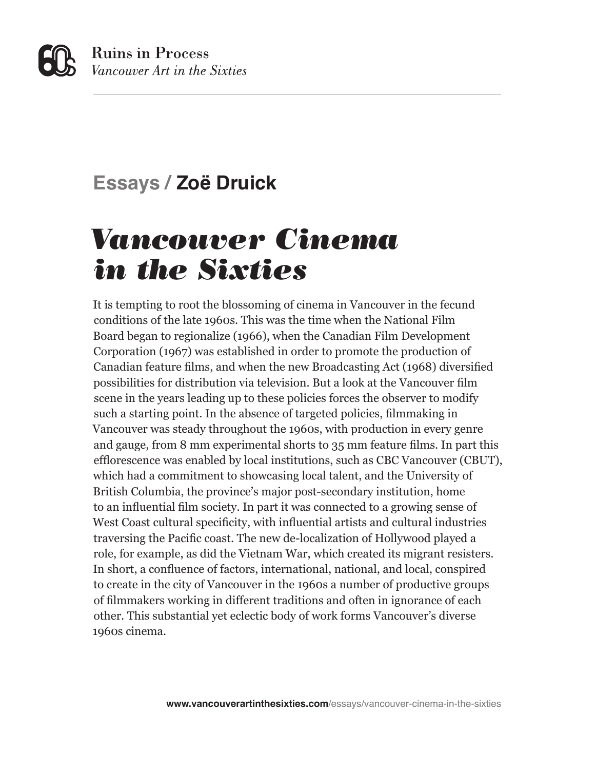## **Essays / Zoë Druick**

# *Vancouver Cinema in the Sixties*

It is tempting to root the blossoming of cinema in Vancouver in the fecund conditions of the late 1960s. This was the time when the National Film Board began to regionalize (1966), when the Canadian Film Development Corporation (1967) was established in order to promote the production of Canadian feature films, and when the new Broadcasting Act (1968) diversified possibilities for distribution via television. But a look at the Vancouver film scene in the years leading up to these policies forces the observer to modify such a starting point. In the absence of targeted policies, filmmaking in Vancouver was steady throughout the 1960s, with production in every genre and gauge, from 8 mm experimental shorts to 35 mm feature films. In part this efflorescence was enabled by local institutions, such as CBC Vancouver (CBUT), which had a commitment to showcasing local talent, and the University of British Columbia, the province's major post-secondary institution, home to an influential film society. In part it was connected to a growing sense of West Coast cultural specificity, with influential artists and cultural industries traversing the Pacific coast. The new de-localization of Hollywood played a role, for example, as did the Vietnam War, which created its migrant resisters. In short, a confluence of factors, international, national, and local, conspired to create in the city of Vancouver in the 1960s a number of productive groups of filmmakers working in different traditions and often in ignorance of each other. This substantial yet eclectic body of work forms Vancouver's diverse 1960s cinema.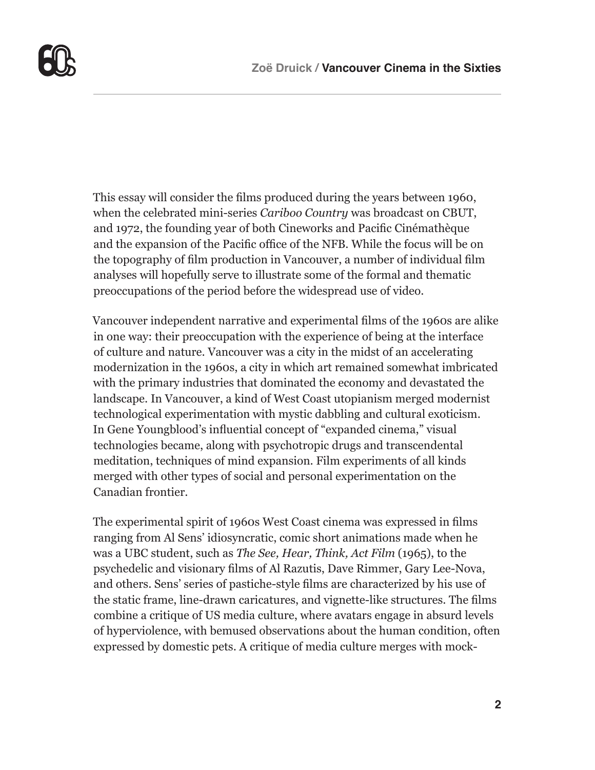

This essay will consider the films produced during the years between 1960, when the celebrated mini-series *Cariboo Country* was broadcast on CBUT, and 1972, the founding year of both Cineworks and Pacific Cinémathèque and the expansion of the Pacific office of the NFB. While the focus will be on the topography of film production in Vancouver, a number of individual film analyses will hopefully serve to illustrate some of the formal and thematic preoccupations of the period before the widespread use of video.

Vancouver independent narrative and experimental films of the 1960s are alike in one way: their preoccupation with the experience of being at the interface of culture and nature. Vancouver was a city in the midst of an accelerating modernization in the 1960s, a city in which art remained somewhat imbricated with the primary industries that dominated the economy and devastated the landscape. In Vancouver, a kind of West Coast utopianism merged modernist technological experimentation with mystic dabbling and cultural exoticism. In Gene Youngblood's influential concept of "expanded cinema," visual technologies became, along with psychotropic drugs and transcendental meditation, techniques of mind expansion. Film experiments of all kinds merged with other types of social and personal experimentation on the Canadian frontier.

The experimental spirit of 1960s West Coast cinema was expressed in films ranging from Al Sens' idiosyncratic, comic short animations made when he was a UBC student, such as *The See, Hear, Think, Act Film* (1965), to the psychedelic and visionary films of Al Razutis, Dave Rimmer, Gary Lee-Nova, and others. Sens' series of pastiche-style films are characterized by his use of the static frame, line-drawn caricatures, and vignette-like structures. The films combine a critique of US media culture, where avatars engage in absurd levels of hyperviolence, with bemused observations about the human condition, often expressed by domestic pets. A critique of media culture merges with mock-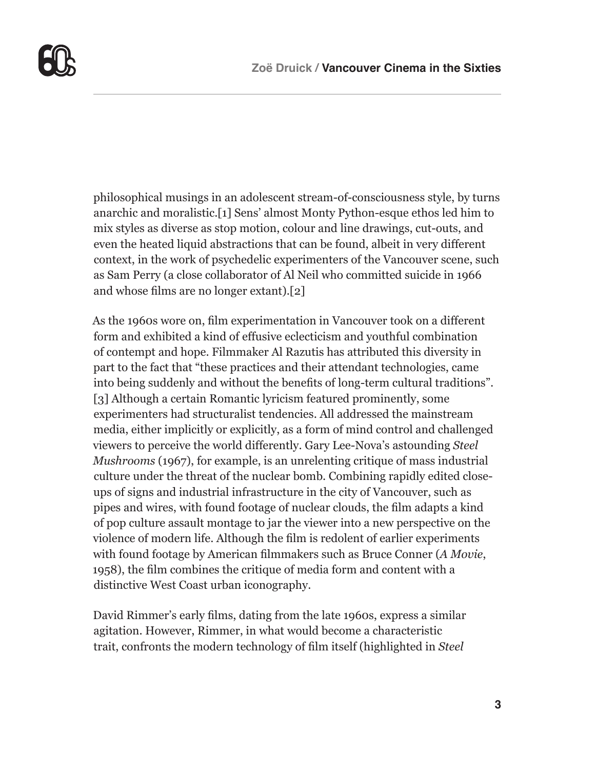

philosophical musings in an adolescent stream-of-consciousness style, by turns anarchic and moralistic.[1] Sens' almost Monty Python-esque ethos led him to mix styles as diverse as stop motion, colour and line drawings, cut-outs, and even the heated liquid abstractions that can be found, albeit in very different context, in the work of psychedelic experimenters of the Vancouver scene, such as Sam Perry (a close collaborator of Al Neil who committed suicide in 1966 and whose films are no longer extant).[2]

As the 1960s wore on, film experimentation in Vancouver took on a different form and exhibited a kind of effusive eclecticism and youthful combination of contempt and hope. Filmmaker Al Razutis has attributed this diversity in part to the fact that "these practices and their attendant technologies, came into being suddenly and without the benefits of long-term cultural traditions". [3] Although a certain Romantic lyricism featured prominently, some experimenters had structuralist tendencies. All addressed the mainstream media, either implicitly or explicitly, as a form of mind control and challenged viewers to perceive the world differently. Gary Lee-Nova's astounding *Steel Mushrooms* (1967), for example, is an unrelenting critique of mass industrial culture under the threat of the nuclear bomb. Combining rapidly edited closeups of signs and industrial infrastructure in the city of Vancouver, such as pipes and wires, with found footage of nuclear clouds, the film adapts a kind of pop culture assault montage to jar the viewer into a new perspective on the violence of modern life. Although the film is redolent of earlier experiments with found footage by American filmmakers such as Bruce Conner (*A Movie*, 1958), the film combines the critique of media form and content with a distinctive West Coast urban iconography.

David Rimmer's early films, dating from the late 1960s, express a similar agitation. However, Rimmer, in what would become a characteristic trait, confronts the modern technology of film itself (highlighted in *Steel*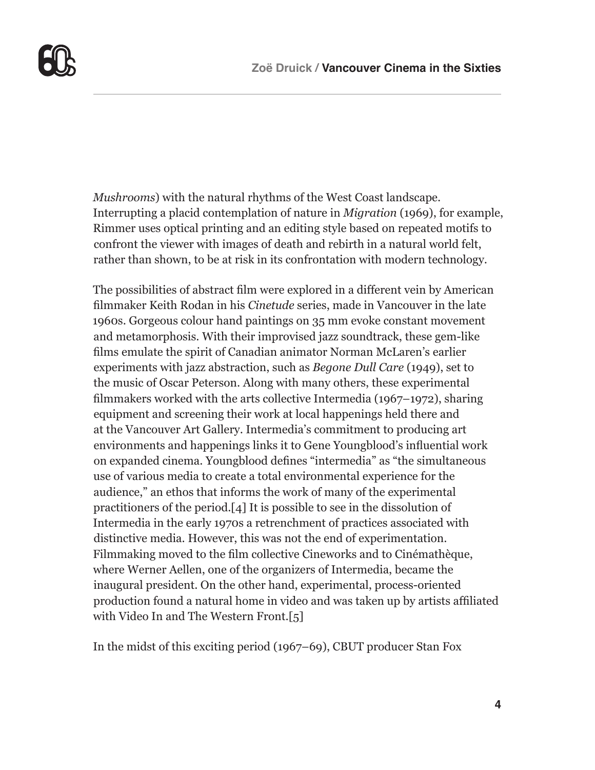

*Mushrooms*) with the natural rhythms of the West Coast landscape. Interrupting a placid contemplation of nature in *Migration* (1969), for example, Rimmer uses optical printing and an editing style based on repeated motifs to confront the viewer with images of death and rebirth in a natural world felt, rather than shown, to be at risk in its confrontation with modern technology.

The possibilities of abstract film were explored in a different vein by American filmmaker Keith Rodan in his *Cinetude* series, made in Vancouver in the late 1960s. Gorgeous colour hand paintings on 35 mm evoke constant movement and metamorphosis. With their improvised jazz soundtrack, these gem-like films emulate the spirit of Canadian animator Norman McLaren's earlier experiments with jazz abstraction, such as *Begone Dull Care* (1949), set to the music of Oscar Peterson. Along with many others, these experimental filmmakers worked with the arts collective Intermedia (1967–1972), sharing equipment and screening their work at local happenings held there and at the Vancouver Art Gallery. Intermedia's commitment to producing art environments and happenings links it to Gene Youngblood's influential work on expanded cinema. Youngblood defines "intermedia" as "the simultaneous use of various media to create a total environmental experience for the audience," an ethos that informs the work of many of the experimental practitioners of the period.[4] It is possible to see in the dissolution of Intermedia in the early 1970s a retrenchment of practices associated with distinctive media. However, this was not the end of experimentation. Filmmaking moved to the film collective Cineworks and to Cinémathèque, where Werner Aellen, one of the organizers of Intermedia, became the inaugural president. On the other hand, experimental, process-oriented production found a natural home in video and was taken up by artists affiliated with Video In and The Western Front.[5]

In the midst of this exciting period (1967–69), CBUT producer Stan Fox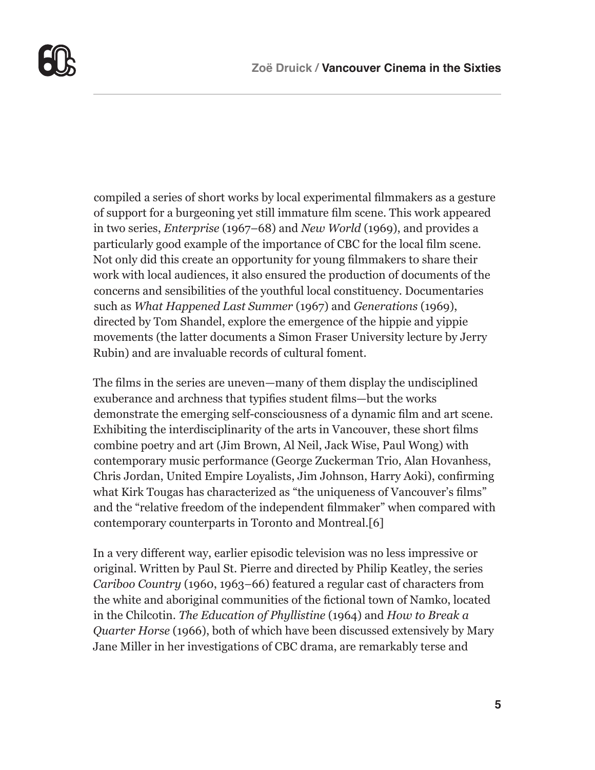

compiled a series of short works by local experimental filmmakers as a gesture of support for a burgeoning yet still immature film scene. This work appeared in two series, *Enterprise* (1967–68) and *New World* (1969), and provides a particularly good example of the importance of CBC for the local film scene. Not only did this create an opportunity for young filmmakers to share their work with local audiences, it also ensured the production of documents of the concerns and sensibilities of the youthful local constituency. Documentaries such as *What Happened Last Summer* (1967) and *Generations* (1969), directed by Tom Shandel, explore the emergence of the hippie and yippie movements (the latter documents a Simon Fraser University lecture by Jerry Rubin) and are invaluable records of cultural foment.

The films in the series are uneven—many of them display the undisciplined exuberance and archness that typifies student films—but the works demonstrate the emerging self-consciousness of a dynamic film and art scene. Exhibiting the interdisciplinarity of the arts in Vancouver, these short films combine poetry and art (Jim Brown, Al Neil, Jack Wise, Paul Wong) with contemporary music performance (George Zuckerman Trio, Alan Hovanhess, Chris Jordan, United Empire Loyalists, Jim Johnson, Harry Aoki), confirming what Kirk Tougas has characterized as "the uniqueness of Vancouver's films" and the "relative freedom of the independent filmmaker" when compared with contemporary counterparts in Toronto and Montreal.[6]

In a very different way, earlier episodic television was no less impressive or original. Written by Paul St. Pierre and directed by Philip Keatley, the series *Cariboo Country* (1960, 1963–66) featured a regular cast of characters from the white and aboriginal communities of the fictional town of Namko, located in the Chilcotin. *The Education of Phyllistine* (1964) and *How to Break a Quarter Horse* (1966), both of which have been discussed extensively by Mary Jane Miller in her investigations of CBC drama, are remarkably terse and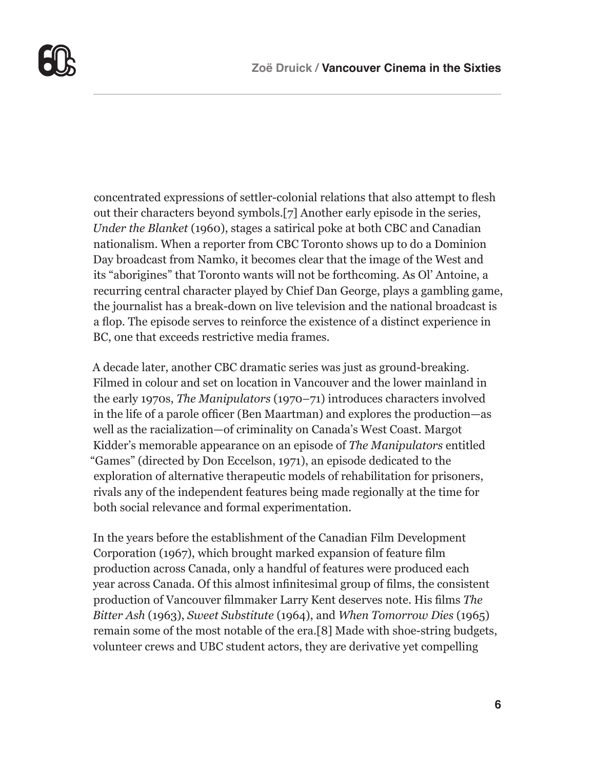

concentrated expressions of settler-colonial relations that also attempt to flesh out their characters beyond symbols.[7] Another early episode in the series, *Under the Blanket* (1960), stages a satirical poke at both CBC and Canadian nationalism. When a reporter from CBC Toronto shows up to do a Dominion Day broadcast from Namko, it becomes clear that the image of the West and its "aborigines" that Toronto wants will not be forthcoming. As Ol' Antoine, a recurring central character played by Chief Dan George, plays a gambling game, the journalist has a break-down on live television and the national broadcast is a flop. The episode serves to reinforce the existence of a distinct experience in BC, one that exceeds restrictive media frames.

A decade later, another CBC dramatic series was just as ground-breaking. Filmed in colour and set on location in Vancouver and the lower mainland in the early 1970s, *The Manipulators* (1970–71) introduces characters involved in the life of a parole officer (Ben Maartman) and explores the production—as well as the racialization—of criminality on Canada's West Coast. Margot Kidder's memorable appearance on an episode of *The Manipulators* entitled "Games" (directed by Don Eccelson, 1971), an episode dedicated to the exploration of alternative therapeutic models of rehabilitation for prisoners, rivals any of the independent features being made regionally at the time for both social relevance and formal experimentation.

In the years before the establishment of the Canadian Film Development Corporation (1967), which brought marked expansion of feature film production across Canada, only a handful of features were produced each year across Canada. Of this almost infinitesimal group of films, the consistent production of Vancouver filmmaker Larry Kent deserves note. His films *The Bitter Ash* (1963), *Sweet Substitute* (1964), and *When Tomorrow Dies* (1965) remain some of the most notable of the era.[8] Made with shoe-string budgets, volunteer crews and UBC student actors, they are derivative yet compelling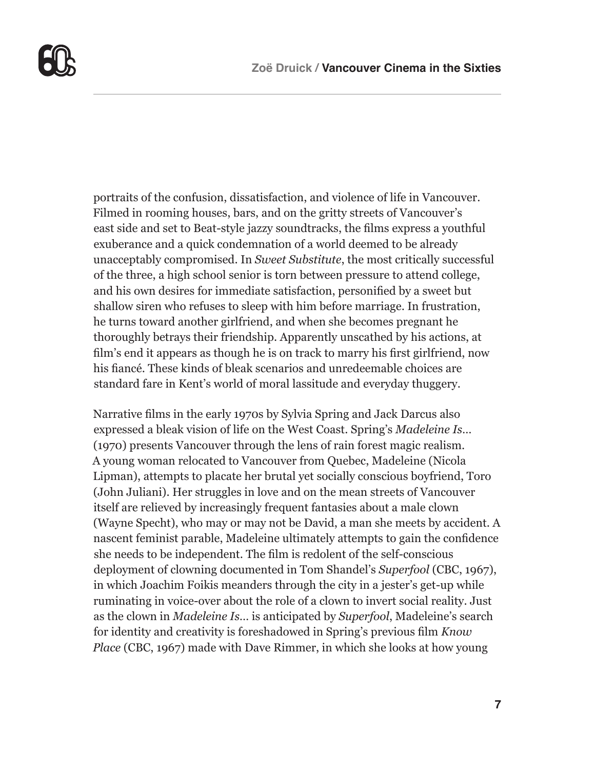

portraits of the confusion, dissatisfaction, and violence of life in Vancouver. Filmed in rooming houses, bars, and on the gritty streets of Vancouver's east side and set to Beat-style jazzy soundtracks, the films express a youthful exuberance and a quick condemnation of a world deemed to be already unacceptably compromised. In *Sweet Substitute*, the most critically successful of the three, a high school senior is torn between pressure to attend college, and his own desires for immediate satisfaction, personified by a sweet but shallow siren who refuses to sleep with him before marriage. In frustration, he turns toward another girlfriend, and when she becomes pregnant he thoroughly betrays their friendship. Apparently unscathed by his actions, at film's end it appears as though he is on track to marry his first girlfriend, now his fiancé. These kinds of bleak scenarios and unredeemable choices are standard fare in Kent's world of moral lassitude and everyday thuggery.

Narrative films in the early 1970s by Sylvia Spring and Jack Darcus also expressed a bleak vision of life on the West Coast. Spring's *Madeleine Is…* (1970) presents Vancouver through the lens of rain forest magic realism. A young woman relocated to Vancouver from Quebec, Madeleine (Nicola Lipman), attempts to placate her brutal yet socially conscious boyfriend, Toro (John Juliani). Her struggles in love and on the mean streets of Vancouver itself are relieved by increasingly frequent fantasies about a male clown (Wayne Specht), who may or may not be David, a man she meets by accident. A nascent feminist parable, Madeleine ultimately attempts to gain the confidence she needs to be independent. The film is redolent of the self-conscious deployment of clowning documented in Tom Shandel's *Superfool* (CBC, 1967), in which Joachim Foikis meanders through the city in a jester's get-up while ruminating in voice-over about the role of a clown to invert social reality. Just as the clown in *Madeleine Is…* is anticipated by *Superfool*, Madeleine's search for identity and creativity is foreshadowed in Spring's previous film *Know Place* (CBC, 1967) made with Dave Rimmer, in which she looks at how young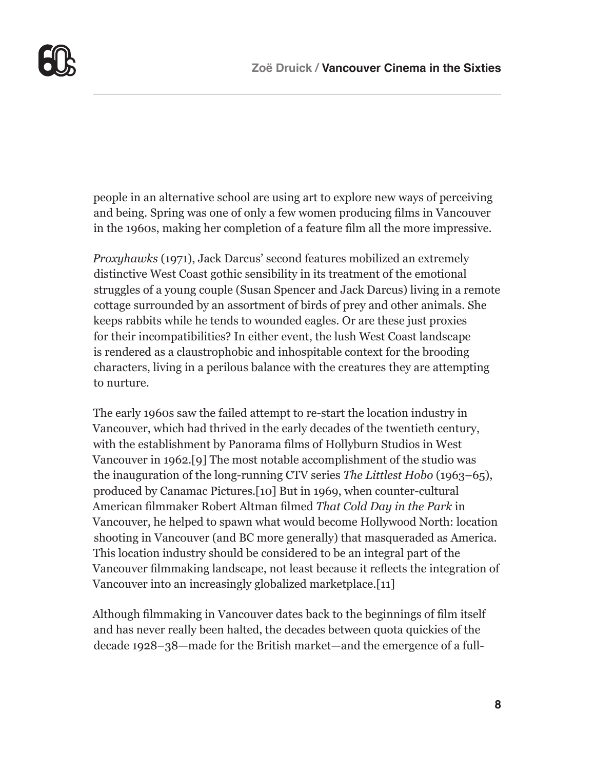

people in an alternative school are using art to explore new ways of perceiving and being. Spring was one of only a few women producing films in Vancouver in the 1960s, making her completion of a feature film all the more impressive.

*Proxyhawks* (1971), Jack Darcus' second features mobilized an extremely distinctive West Coast gothic sensibility in its treatment of the emotional struggles of a young couple (Susan Spencer and Jack Darcus) living in a remote cottage surrounded by an assortment of birds of prey and other animals. She keeps rabbits while he tends to wounded eagles. Or are these just proxies for their incompatibilities? In either event, the lush West Coast landscape is rendered as a claustrophobic and inhospitable context for the brooding characters, living in a perilous balance with the creatures they are attempting to nurture.

The early 1960s saw the failed attempt to re-start the location industry in Vancouver, which had thrived in the early decades of the twentieth century, with the establishment by Panorama films of Hollyburn Studios in West Vancouver in 1962.[9] The most notable accomplishment of the studio was the inauguration of the long-running CTV series *The Littlest Hobo* (1963–65), produced by Canamac Pictures.[10] But in 1969, when counter-cultural American filmmaker Robert Altman filmed *That Cold Day in the Park* in Vancouver, he helped to spawn what would become Hollywood North: location shooting in Vancouver (and BC more generally) that masqueraded as America. This location industry should be considered to be an integral part of the Vancouver filmmaking landscape, not least because it reflects the integration of Vancouver into an increasingly globalized marketplace.[11]

Although filmmaking in Vancouver dates back to the beginnings of film itself and has never really been halted, the decades between quota quickies of the decade 1928–38—made for the British market—and the emergence of a full-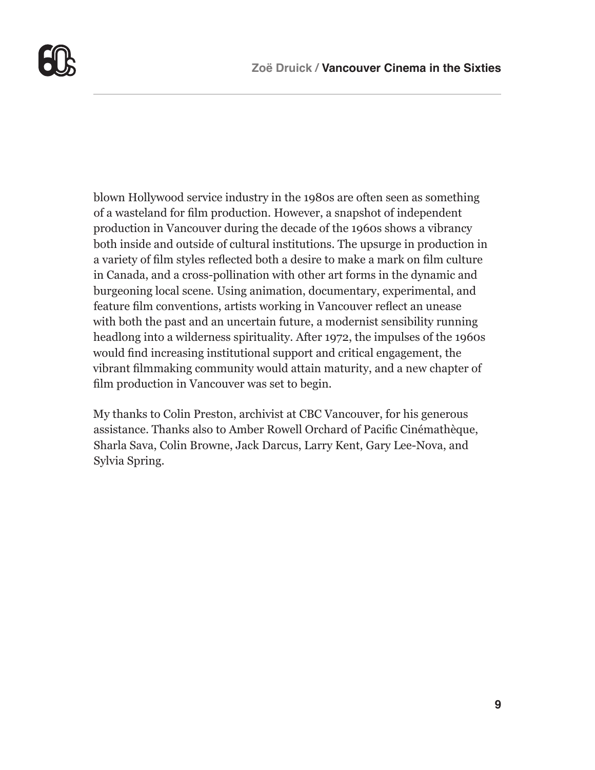

blown Hollywood service industry in the 1980s are often seen as something of a wasteland for film production. However, a snapshot of independent production in Vancouver during the decade of the 1960s shows a vibrancy both inside and outside of cultural institutions. The upsurge in production in a variety of film styles reflected both a desire to make a mark on film culture in Canada, and a cross-pollination with other art forms in the dynamic and burgeoning local scene. Using animation, documentary, experimental, and feature film conventions, artists working in Vancouver reflect an unease with both the past and an uncertain future, a modernist sensibility running headlong into a wilderness spirituality. After 1972, the impulses of the 1960s would find increasing institutional support and critical engagement, the vibrant filmmaking community would attain maturity, and a new chapter of film production in Vancouver was set to begin.

My thanks to Colin Preston, archivist at CBC Vancouver, for his generous assistance. Thanks also to Amber Rowell Orchard of Pacific Cinémathèque, Sharla Sava, Colin Browne, Jack Darcus, Larry Kent, Gary Lee-Nova, and Sylvia Spring.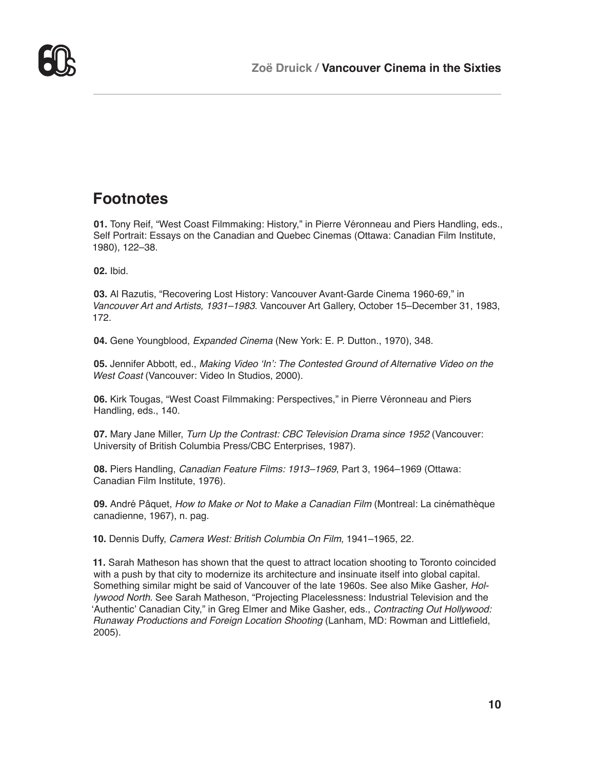

#### **Footnotes**

**01.** Tony Reif, "West Coast Filmmaking: History," in Pierre Véronneau and Piers Handling, eds., Self Portrait: Essays on the Canadian and Quebec Cinemas (Ottawa: Canadian Film Institute, 1980), 122–38.

**02.** Ibid.

**03.** Al Razutis, "Recovering Lost History: Vancouver Avant-Garde Cinema 1960-69," in *Vancouver Art and Artists, 1931–1983*. Vancouver Art Gallery, October 15–December 31, 1983, 172.

**04.** Gene Youngblood, *Expanded Cinema* (New York: E. P. Dutton., 1970), 348.

**05.** Jennifer Abbott, ed., *Making Video 'In': The Contested Ground of Alternative Video on the West Coast* (Vancouver: Video In Studios, 2000).

**06.** Kirk Tougas, "West Coast Filmmaking: Perspectives," in Pierre Véronneau and Piers Handling, eds., 140.

**07.** Mary Jane Miller, *Turn Up the Contrast: CBC Television Drama since 1952* (Vancouver: University of British Columbia Press/CBC Enterprises, 1987).

**08.** Piers Handling, *Canadian Feature Films: 1913–1969*, Part 3, 1964–1969 (Ottawa: Canadian Film Institute, 1976).

**09.** André Pâquet, *How to Make or Not to Make a Canadian Film* (Montreal: La cinémathèque canadienne, 1967), n. pag.

**10.** Dennis Duffy, *Camera West: British Columbia On Film*, 1941–1965, 22.

**11.** Sarah Matheson has shown that the quest to attract location shooting to Toronto coincided with a push by that city to modernize its architecture and insinuate itself into global capital. Something similar might be said of Vancouver of the late 1960s. See also Mike Gasher, *Hollywood North*. See Sarah Matheson, "Projecting Placelessness: Industrial Television and the 'Authentic' Canadian City," in Greg Elmer and Mike Gasher, eds., *Contracting Out Hollywood: Runaway Productions and Foreign Location Shooting* (Lanham, MD: Rowman and Littlefield, 2005).